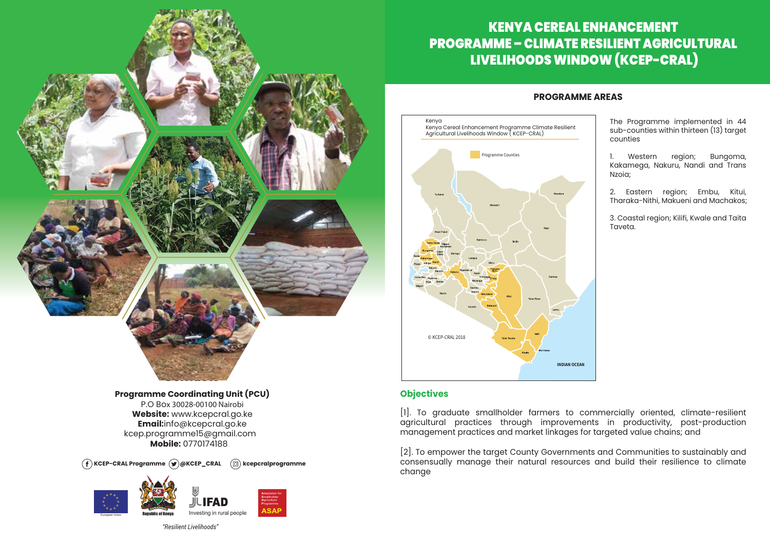

 $\widehat{f}$  KCEP-CRAL Programme  $\widehat{g}$  *@KCEP\_CRAL*  $\widehat{f}$  *kcepcralprogramme* 



*"Resilient Livelihoods"*

## KENYA CEREAL ENHANCEMENT PROGRAMME – CLIMATE RESILIENT AGRICULTURAL LIVELIHOODS WINDOW (KCEP-CRAL)

### **PROGRAMME AREAS**

The Programme implemented in 44 sub-counties within thirteen (13) target counties

1. Western region; Bungoma, Kakamega, Nakuru, Nandi and Trans Nzoia;

2. Eastern region; Embu, Kitui, Tharaka-Nithi, Makueni and Machakos;

3. Coastal region; Kilifi, Kwale and Taita Taveta.

## **Objectives**

© KCEP-CRAL 2018

Kenya

Kenya Cereal Enhancement Programme Climate Resilient Agricultural Livelihoods Window ( KCEP-CRAL)

**Programme Counties** 

[1]. To graduate smallholder farmers to commercially oriented, climate-resilient agricultural practices through improvements in productivity, post-production management practices and market linkages for targeted value chains; and

**INDIAN OCEAN**

[2]. To empower the target County Governments and Communities to sustainably and consensually manage their natural resources and build their resilience to climate change